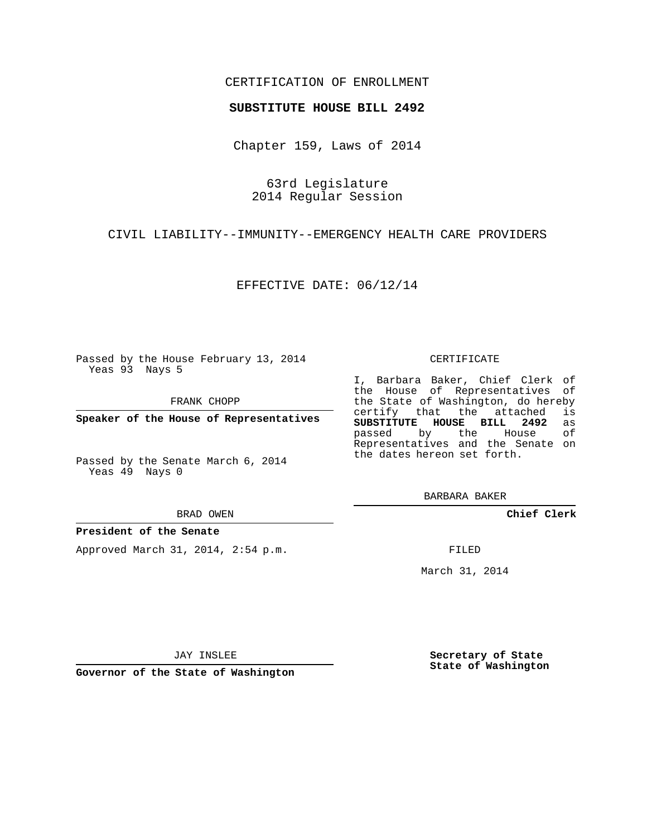### CERTIFICATION OF ENROLLMENT

#### **SUBSTITUTE HOUSE BILL 2492**

Chapter 159, Laws of 2014

63rd Legislature 2014 Regular Session

CIVIL LIABILITY--IMMUNITY--EMERGENCY HEALTH CARE PROVIDERS

EFFECTIVE DATE: 06/12/14

Passed by the House February 13, 2014 Yeas 93 Nays 5

FRANK CHOPP

**Speaker of the House of Representatives**

Passed by the Senate March 6, 2014 Yeas 49 Nays 0

BRAD OWEN

#### **President of the Senate**

Approved March 31, 2014, 2:54 p.m.

CERTIFICATE

I, Barbara Baker, Chief Clerk of the House of Representatives of the State of Washington, do hereby<br>certify that the attached is certify that the attached **SUBSTITUTE HOUSE BILL 2492** as passed by the House of Representatives and the Senate on the dates hereon set forth.

BARBARA BAKER

**Chief Clerk**

FILED

March 31, 2014

JAY INSLEE

**Governor of the State of Washington**

**Secretary of State State of Washington**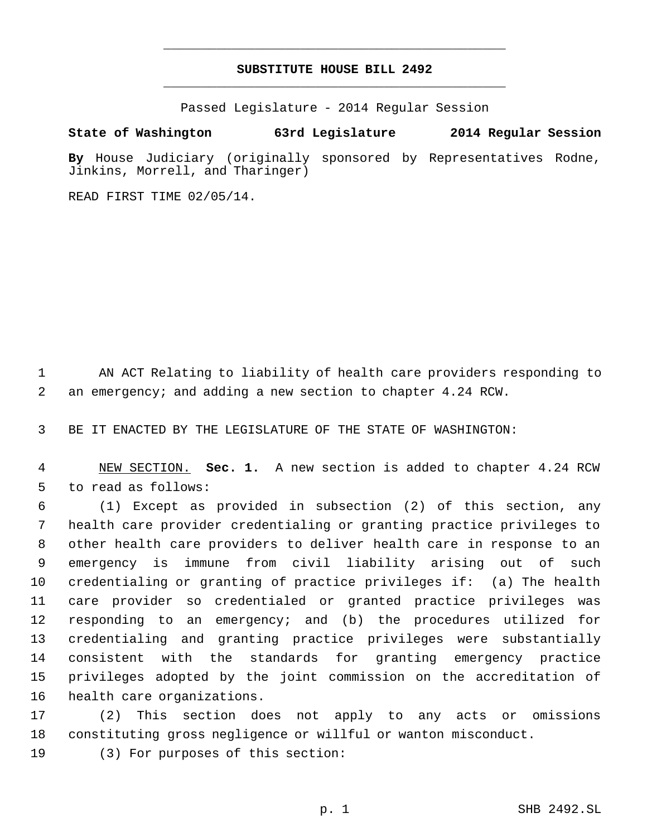# **SUBSTITUTE HOUSE BILL 2492** \_\_\_\_\_\_\_\_\_\_\_\_\_\_\_\_\_\_\_\_\_\_\_\_\_\_\_\_\_\_\_\_\_\_\_\_\_\_\_\_\_\_\_\_\_

\_\_\_\_\_\_\_\_\_\_\_\_\_\_\_\_\_\_\_\_\_\_\_\_\_\_\_\_\_\_\_\_\_\_\_\_\_\_\_\_\_\_\_\_\_

Passed Legislature - 2014 Regular Session

## **State of Washington 63rd Legislature 2014 Regular Session**

**By** House Judiciary (originally sponsored by Representatives Rodne, Jinkins, Morrell, and Tharinger)

READ FIRST TIME 02/05/14.

 AN ACT Relating to liability of health care providers responding to an emergency; and adding a new section to chapter 4.24 RCW.

BE IT ENACTED BY THE LEGISLATURE OF THE STATE OF WASHINGTON:

 NEW SECTION. **Sec. 1.** A new section is added to chapter 4.24 RCW to read as follows:

 (1) Except as provided in subsection (2) of this section, any health care provider credentialing or granting practice privileges to other health care providers to deliver health care in response to an emergency is immune from civil liability arising out of such credentialing or granting of practice privileges if: (a) The health care provider so credentialed or granted practice privileges was responding to an emergency; and (b) the procedures utilized for credentialing and granting practice privileges were substantially consistent with the standards for granting emergency practice privileges adopted by the joint commission on the accreditation of health care organizations.

 (2) This section does not apply to any acts or omissions constituting gross negligence or willful or wanton misconduct.

(3) For purposes of this section: